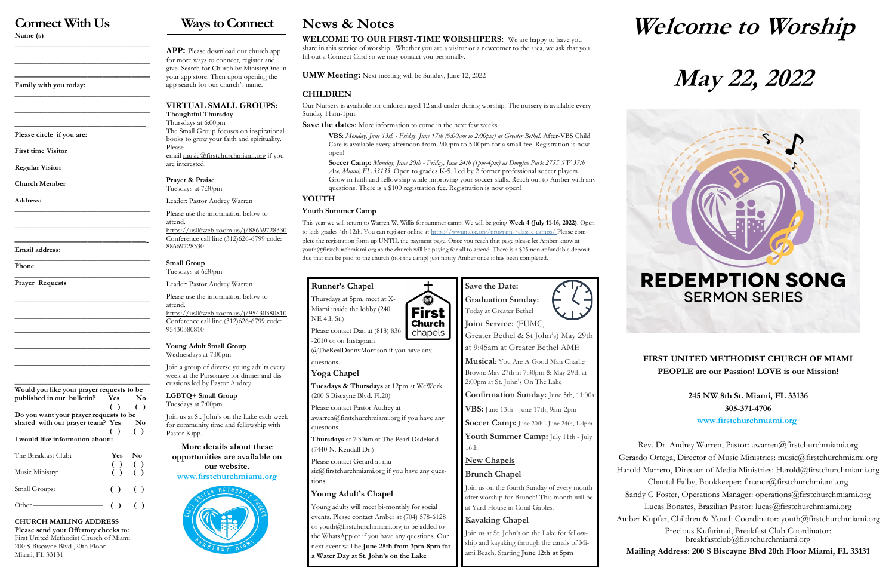# **Connect With Us**

**Name (s)**

**\_\_\_\_\_\_\_\_\_\_\_\_\_\_\_\_\_\_\_\_\_\_\_\_\_\_\_\_\_\_\_\_\_\_\_\_\_**

**\_\_\_\_\_\_\_\_\_\_\_\_\_\_\_\_\_\_\_\_\_\_\_\_\_\_\_\_\_\_\_\_\_\_\_\_\_**

**——————————————————– Family with you today:**

**\_\_\_\_\_\_\_\_\_\_\_\_\_\_\_\_\_\_\_\_\_\_\_\_\_\_\_\_\_\_\_\_\_\_\_\_\_**

**\_\_\_\_\_\_\_\_\_\_\_\_\_\_\_\_\_\_\_\_\_\_\_\_\_\_\_\_\_\_\_\_\_\_\_\_\_**

**——————————————————- Please circle if you are:** 

**First time Visitor**

**Regular Visitor**

**Church Member**

**Address:**

**\_\_\_\_\_\_\_\_\_\_\_\_\_\_\_\_\_\_\_\_\_\_\_\_\_\_\_\_\_\_\_\_\_\_\_\_\_**

**\_\_\_\_\_\_\_\_\_\_\_\_\_\_\_\_\_\_\_\_\_\_\_\_\_\_\_\_\_\_\_\_\_\_\_\_\_**

**——————————————————- Email address:**

**\_\_\_\_\_\_\_\_\_\_\_\_\_\_\_\_\_\_\_\_\_\_\_\_\_\_\_\_\_\_\_\_\_\_\_\_\_ Phone** 

**\_\_\_\_\_\_\_\_\_\_\_\_\_\_\_\_\_\_\_\_\_\_\_\_\_\_\_\_\_\_\_\_\_\_\_\_\_ Prayer Requests**

**\_\_\_\_\_\_\_\_\_\_\_\_\_\_\_\_\_\_\_\_\_\_\_\_\_\_\_\_\_\_\_\_\_\_\_\_\_**

**\_\_\_\_\_\_\_\_\_\_\_\_\_\_\_\_\_\_\_\_\_\_\_\_\_\_\_\_\_\_\_\_\_\_\_\_\_**

**—————————————————–—**

**—————————————————–—**

**—————————————————–—**

**\_\_\_\_\_\_\_\_\_\_\_\_\_\_\_\_\_\_\_\_\_\_\_\_\_\_\_\_\_\_\_\_\_\_\_\_\_**

**Would you like your prayer requests to be published in our bulletin? Yes No ( ) ( ) Do you want your prayer requests to be**  shared with our prayer team? Yes No  **( ) ( ) I would like information about::** The Breakfast Club**: Yes No ( ) ( )** Music Ministry: **( ) ( )**

Other **————————** ( ) ( )

Small Groups: **( )** ( )

**CHURCH MAILING ADDRESS Please send your Offertory checks to:**

First United Methodist Church of Miami 200 S Biscayne Blvd ,20th Floor Miami, FL 33131

# **Ways to Connect**

**APP:** Please download our church app for more ways to connect, register and give. Search for Church by MinistryOne in your app store. Then upon opening the app search for our church's name.

# **VIRTUAL SMALL GROUPS:**

**Thoughtful Thursday** Thursdays at 6:00pm The Small Group focuses on inspirational books to grow your faith and spirituality. Please email [music@firstchurchmiami.org](mailto:music@firstchurchmiami.org) if you are interested.

**Prayer & Praise** Tuesdays at 7:30pm

Leader: Pastor Audrey Warren

Please use the information below to attend. <https://us06web.zoom.us/j/88669728330> Conference call line (312)626-6799 code: 88669728330

### **Small Group**

Tuesdays at 6:30pm Leader: Pastor Audrey Warren

Please use the information below to attend. <https://us06web.zoom.us/j/95430380810> Conference call line (312)626-6799 code:

95430380810

**Young Adult Small Group** Wednesdays at 7:00pm

Join a group of diverse young adults every week at the Parsonage for dinner and discussions led by Pastor Audrey.

**LGBTQ+ Small Group** Tuesdays at 7:00pm

Join us at St. John's on the Lake each week for community time and fellowship with Pastor Kipp.

**More details about these opportunities are available on our website. [www.firstchurchmiami.org](http://www.firstchurchmiami.org)**



**Welcome to Worship**

# **May 22, 2022**

# **REDEMPTION SONG SERMON SERIES**

## **FIRST UNITED METHODIST CHURCH OF MIAMI PEOPLE are our Passion! LOVE is our Mission!**

**245 NW 8th St. Miami, FL 33136 305-371-4706 www.firstchurchmiami.org**

Rev. Dr. Audrey Warren, Pastor: awarren@firstchurchmiami.org Gerardo Ortega, Director of Music Ministries: music@firstchurchmiami.org Harold Marrero, Director of Media Ministries: Harold@firstchurchmiami.org Chantal Falby, Bookkeeper: finance@firstchurchmiami.org Sandy C Foster, Operations Manager: operations@firstchurchmiami.org Lucas Bonates, Brazilian Pastor: lucas@firstchurchmiami.org Amber Kupfer, Children & Youth Coordinator: youth@firstchurchmiami.org Precious Kufarimai, Breakfast Club Coordinator:

breakfastclub@firstchurchmiami.org **Mailing Address: 200 S Biscayne Blvd 20th Floor Miami, FL 33131**

# **News & Notes**

**WELCOME TO OUR FIRST-TIME WORSHIPERS:** We are happy to have you share in this service of worship. Whether you are a visitor or a newcomer to the area, we ask that you fill out a Connect Card so we may contact you personally.

**UMW Meeting:** Next meeting will be Sunday, June 12, 2022

## **CHILDREN**

Our Nursery is available for children aged 12 and under during worship. The nursery is available every Sunday 11am-1pm.

**Save the dates:** More information to come in the next few weeks

**VBS**: *Monday, June 13th - Friday, June 17th (9:00am to 2:00pm) at Greater Bethel.* After-VBS Child Care is available every afternoon from 2:00pm to 5:00pm for a small fee. Registration is now open!

**Soccer Camp:** *Monday, June 20th - Friday, June 24th (1pm-4pm) at Douglas Park 2755 SW 37th Ave, Miami, FL 33133.* Open to grades K-5. Led by 2 former professional soccer players. Grow in faith and fellowship while improving your soccer skills. Reach out to Amber with any questions. There is a \$100 registration fee. Registration is now open!

### **YOUTH**

### **Youth Summer Camp**

This year we will return to Warren W. Willis for summer camp. We will be going **Week 4 (July 11-16, 2022)**. Open to kids grades 4th-12th. You can register online at https://www.mccc.org/programs/classic-camps/ Please complete the registration form up UNTIL the payment page. Once you reach that page please let Amber know at youth@firstchurchmiami.org as the church will be paying for all to attend. There is a \$25 non-refundable deposit due that can be paid to the church (not the camp) just notify Amber once it has been completed.

> First **Church**

# **Runner's Chapel**

Thursdays at 5pm, meet at X-Miami inside the lobby (240 NE 4th St.) Please contact Dan at (818) 836



@TheRealDannyMorrison if you have any

### questions. **Yoga Chapel**

**Tuesdays & Thursdays** at 12pm at WeWork (200 S Biscayne Blvd. Fl.20)

Please contact Pastor Audrey at

awarren@firstchurchmiami.org if you have any questions.

**Thursdays** at 7:30am at The Pearl Dadeland (7440 N. Kendall Dr.)

Please contact Gerard at music@firstchurchmiami.org if you have any questions

# **Young Adult's Chapel**

Young adults will meet bi-monthly for social events. Please contact Amber at (704) 578-6128 or youth@firstchurchmiami.org to be added to the WhatsApp or if you have any questions. Our next event will be **June 25th from 3pm-8pm for a Water Day at St. John's on the Lake**

**Save the Date: Graduation Sunday:**  Today at Greater Bethel **Joint Service:** (FUMC,

Greater Bethel & St John's) May 29th at 9:45am at Greater Bethel AME

**Musical:** You Are A Good Man Charlie Brown: May 27th at 7:30pm & May 29th at 2:00pm at St. John's On The Lake

**Confirmation Sunday:** June 5th, 11:00a

**VBS:** June 13th - June 17th, 9am-2pm

**Soccer Camp:** June 20th - June 24th, 1-4pm

**Youth Summer Camp:** July 11th - July 16th

**New Chapels**

**Brunch Chapel**

Join us on the fourth Sunday of every month after worship for Brunch! This month will be at Yard House in Coral Gables.

# **Kayaking Chapel**

Join us at St. John's on the Lake for fellowship and kayaking through the canals of Miami Beach. Starting **June 12th at 5pm**